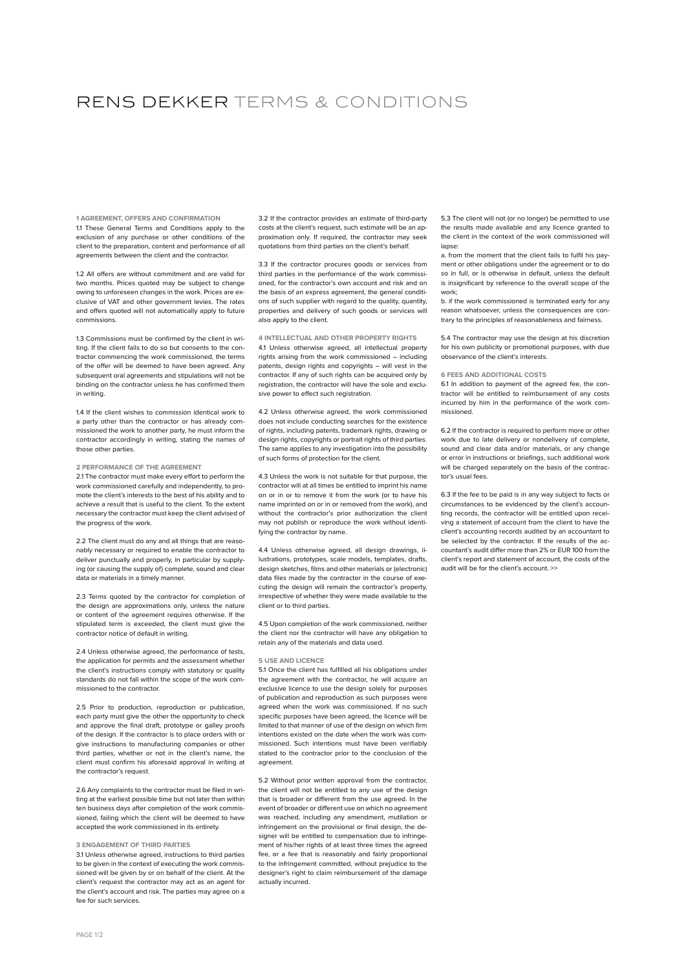# RENS DEKKER TERMS & CONDITIONS

**1 AGREEMENT, OFFERS AND CONFIRMATION** 1.1 These General Terms and Conditions apply to the exclusion of any purchase or other conditions of the client to the preparation, content and performance of all agreements between the client and the contractor.

1.2 All offers are without commitment and are valid for two months. Prices quoted may be subject to change owing to unforeseen changes in the work. Prices are exclusive of VAT and other government levies. The rates and offers quoted will not automatically apply to future commissions.

1.3 Commissions must be confirmed by the client in writing. If the client fails to do so but consents to the contractor commencing the work commissioned, the terms of the offer will be deemed to have been agreed. Any subsequent oral agreements and stipulations will not be binding on the contractor unless he has confirmed them in writing.

1.4 If the client wishes to commission identical work to a party other than the contractor or has already commissioned the work to another party, he must inform the contractor accordingly in writing, stating the names of those other parties.

#### **2 PERFORMANCE OF THE AGREEMENT**

2.1 The contractor must make every effort to perform the work commissioned carefully and independently, to promote the client's interests to the best of his ability and to achieve a result that is useful to the client. To the extent necessary the contractor must keep the client advised of the progress of the work.

2.2 The client must do any and all things that are reasonably necessary or required to enable the contractor to deliver punctually and properly, in particular by supplying (or causing the supply of) complete, sound and clear data or materials in a timely manner.

2.3 Terms quoted by the contractor for completion of the design are approximations only, unless the nature or content of the agreement requires otherwise. If the stipulated term is exceeded, the client must give the contractor notice of default in writing.

2.4 Unless otherwise agreed, the performance of tests, the application for permits and the assessment whether the client's instructions comply with statutory or quality standards do not fall within the scope of the work commissioned to the contractor.

2.5 Prior to production, reproduction or publication, each party must give the other the opportunity to check and approve the final draft, prototype or galley proofs of the design. If the contractor is to place orders with or give instructions to manufacturing companies or other third parties, whether or not in the client's name, the client must confirm his aforesaid approval in writing at the contractor's request.

2.6 Any complaints to the contractor must be filed in writing at the earliest possible time but not later than within ten business days after completion of the work commissioned, failing which the client will be deemed to have accepted the work commissioned in its entirety.

# **3 ENGAGEMENT OF THIRD PARTIES**

3.1 Unless otherwise agreed, instructions to third parties to be given in the context of executing the work commissioned will be given by or on behalf of the client. At the client's request the contractor may act as an agent for the client's account and risk. The parties may agree on a fee for such services.

3.2 If the contractor provides an estimate of third-party costs at the client's request, such estimate will be an approximation only. If required, the contractor may seek quotations from third parties on the client's behalf.

3.3 If the contractor procures goods or services from third parties in the performance of the work commissioned, for the contractor's own account and risk and on the basis of an express agreement, the general conditions of such supplier with regard to the quality, quantity, properties and delivery of such goods or services will also apply to the client.

**4 INTELLECTUAL AND OTHER PROPERTY RIGHTS**  4.1 Unless otherwise agreed, all intellectual property rights arising from the work commissioned – including patents, design rights and copyrights – will vest in the contractor. If any of such rights can be acquired only by registration, the contractor will have the sole and exclusive power to effect such registration.

4.2 Unless otherwise agreed, the work commissioned does not include conducting searches for the existence of rights, including patents, trademark rights, drawing or design rights, copyrights or portrait rights of third parties. The same applies to any investigation into the possibility of such forms of protection for the client.

4.3 Unless the work is not suitable for that purpose, the contractor will at all times be entitled to imprint his name on or in or to remove it from the work (or to have his name imprinted on or in or removed from the work), and without the contractor's prior authorization the client may not publish or reproduce the work without identifying the contractor by name.

4.4 Unless otherwise agreed, all design drawings, illustrations, prototypes, scale models, templates, drafts, design sketches, films and other materials or (electronic) data files made by the contractor in the course of executing the design will remain the contractor's property, irrespective of whether they were made available to the client or to third parties.

4.5 Upon completion of the work commissioned, neither the client nor the contractor will have any obligation to retain any of the materials and data used.

#### **5 USE AND LICENCE**

5.1 Once the client has fulfilled all his obligations under the agreement with the contractor, he will acquire an exclusive licence to use the design solely for purposes of publication and reproduction as such purposes were agreed when the work was commissioned. If no such specific purposes have been agreed, the licence will be limited to that manner of use of the design on which firm intentions existed on the date when the work was commissioned. Such intentions must have been verifiably stated to the contractor prior to the conclusion of the agreement

5.2 Without prior written approval from the contractor, the client will not be entitled to any use of the design that is broader or different from the use agreed. In the event of broader or different use on which no agreement was reached, including any amendment, mutilation or infringement on the provisional or final design, the designer will be entitled to compensation due to infringement of his/her rights of at least three times the agreed fee, or a fee that is reasonably and fairly proportional to the infringement committed, without prejudice to the designer's right to claim reimbursement of the damage actually incurred.

5.3 The client will not (or no longer) be permitted to use the results made available and any licence granted to the client in the context of the work commissioned will lapse:

a. from the moment that the client fails to fulfil his payment or other obligations under the agreement or to do so in full, or is otherwise in default, unless the default is insignificant by reference to the overall scope of the work;

b. if the work commissioned is terminated early for any reason whatsoever, unless the consequences are contrary to the principles of reasonableness and fairness.

5.4 The contractor may use the design at his discretion for his own publicity or promotional purposes, with due observance of the client's interests.

# **6 FEES AND ADDITIONAL COSTS**

6.1 In addition to payment of the agreed fee, the contractor will be entitled to reimbursement of any costs incurred by him in the performance of the work commissioned.

6.2 If the contractor is required to perform more or other work due to late delivery or nondelivery of complete, sound and clear data and/or materials, or any change or error in instructions or briefings, such additional work will be charged separately on the basis of the contrac-tor's usual fees.

6.3 If the fee to be paid is in any way subject to facts or circumstances to be evidenced by the client's accounting records, the contractor will be entitled upon receiving a statement of account from the client to have the client's accounting records audited by an accountant to be selected by the contractor. If the results of the accountant's audit differ more than 2% or EUR 100 from the client's report and statement of account, the costs of the audit will be for the client's account. >>